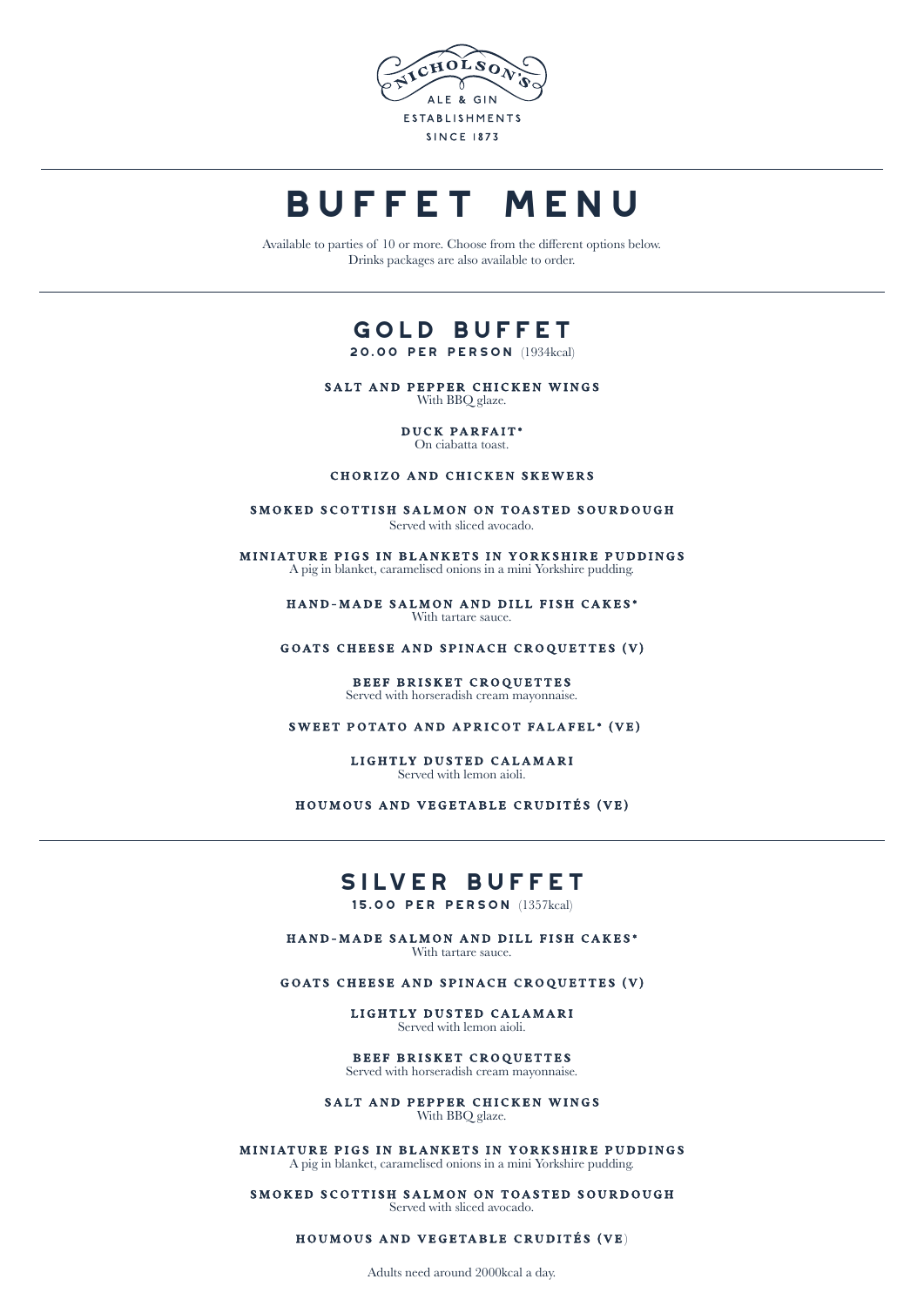

# **BUFFET MENU**

Available to parties of 10 or more. Choose from the different options below. Drinks packages are also available to order.

## **gold Buffet**

**20.00 per person** (1934kcal)

SALT AND PEPPER CHICKEN WINGS With BBQ glaze.

> DUCK PARFAIT\* On ciabatta toast.

#### CHORIZO AND CHICKEN SKEWERS

SMOKED SCOTTISH SALMON ON TOASTED SOURDOUGH Served with sliced avocado.

MINIATURE PIGS IN BLANKETS IN YORKSHIRE PUDDINGS A pig in blanket, caramelised onions in a mini Yorkshire pudding.

> HAND-MADE SALMON AND DILL FISH CAKES\* With tartare sauce.

GOATS CHEESE AND SPINACH CROQUETTES (V)

#### BEEF BRISKET CROQUETTES Served with horseradish cream mayonnaise.

SWEET POTATO AND APRICOT FALAFEL\* (VE)

LIGHTLY DUSTED CALAMARI Served with lemon aioli.

HOUMOUS AND VEGETABLE CRUDITÉS (VE)

#### **silver Buffet**

**15.00 per person** (1357kcal)

HAND-MADE SALMON AND DILL FISH CAKES\* With tartare sauce.

GOATS CHEESE AND SPINACH CROQUETTES (V)

LIGHTLY DUSTED CALAMARI Served with lemon aioli.

BEEF BRISKET CROQUETTES Served with horseradish cream mayonnaise.

SALT AND PEPPER CHICKEN WINGS With BBQ glaze.

MINIATURE PIGS IN BLANKETS IN YORKSHIRE PUDDINGS A pig in blanket, caramelised onions in a mini Yorkshire pudding.

SMOKED SCOTTISH SALMON ON TOASTED SOURDOUGH Served with sliced avocado.

HOUMOUS AND VEGETABLE CRUDITÉS (VE)

Adults need around 2000kcal a day.